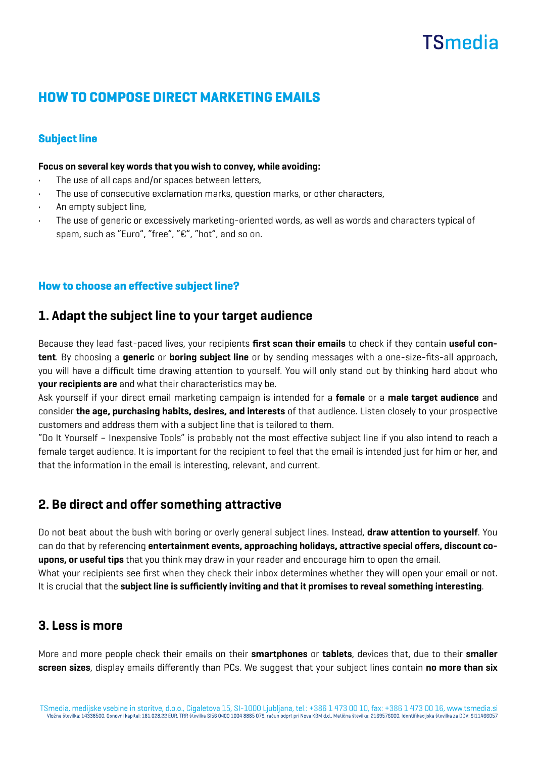# **TSmedia**

# HOW TO COMPOSE DIRECT MARKETING EMAILS

## Subject line

#### Focus on several key words that you wish to convey, while avoiding:

- The use of all caps and/or spaces between letters,
- The use of consecutive exclamation marks, question marks, or other characters,
- An empty subject line,
- The use of generic or excessively marketing-oriented words, as well as words and characters typical of spam, such as "Euro", "free", "€", "hot", and so on.

### How to choose an effective subject line?

# 1. Adapt the subject line to your target audience

Because they lead fast-paced lives, your recipients first scan their emails to check if they contain useful content. By choosing a generic or boring subject line or by sending messages with a one-size-fits-all approach, you will have a difficult time drawing attention to yourself. You will only stand out by thinking hard about who your recipients are and what their characteristics may be.

Ask yourself if your direct email marketing campaign is intended for a **female** or a male target audience and consider the age, purchasing habits, desires, and interests of that audience. Listen closely to your prospective customers and address them with a subject line that is tailored to them.

"Do It Yourself – Inexpensive Tools" is probably not the most effective subject line if you also intend to reach a female target audience. It is important for the recipient to feel that the email is intended just for him or her, and that the information in the email is interesting, relevant, and current.

# 2. Be direct and offer something attractive

Do not beat about the bush with boring or overly general subject lines. Instead, draw attention to yourself. You can do that by referencing entertainment events, approaching holidays, attractive special offers, discount coupons, or useful tips that you think may draw in your reader and encourage him to open the email. What your recipients see first when they check their inbox determines whether they will open your email or not. It is crucial that the subject line is sufficiently inviting and that it promises to reveal something interesting.

## 3. Less is more

More and more people check their emails on their smartphones or tablets, devices that, due to their smaller screen sizes, display emails differently than PCs. We suggest that your subject lines contain no more than six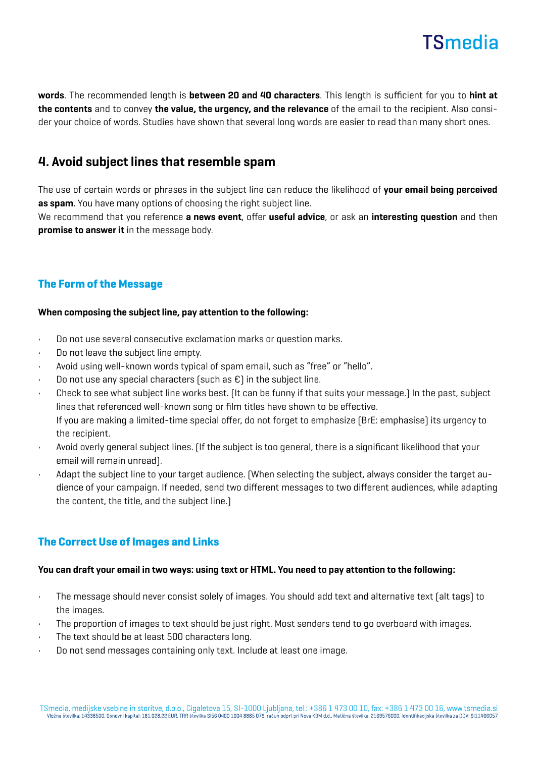

words. The recommended length is between 20 and 40 characters. This length is sufficient for you to hint at the contents and to convey the value, the urgency, and the relevance of the email to the recipient. Also consider your choice of words. Studies have shown that several long words are easier to read than many short ones.

# 4. Avoid subject lines that resemble spam

The use of certain words or phrases in the subject line can reduce the likelihood of your email being perceived as spam. You have many options of choosing the right subject line.

We recommend that you reference **a news event**, offer **useful advice**, or ask an **interesting question** and then promise to answer it in the message body.

## The Form of the Message

#### When composing the subject line, pay attention to the following:

- Do not use several consecutive exclamation marks or question marks.
- Do not leave the subject line empty.
- Avoid using well-known words typical of spam email, such as "free" or "hello".
- Do not use any special characters (such as  $\epsilon$ ) in the subject line.
- Check to see what subject line works best. (It can be funny if that suits your message.) In the past, subject lines that referenced well-known song or film titles have shown to be effective. If you are making a limited-time special offer, do not forget to emphasize (BrE: emphasise) its urgency to the recipient.
- Avoid overly general subject lines. (If the subject is too general, there is a significant likelihood that your email will remain unread).
- Adapt the subject line to your target audience. (When selecting the subject, always consider the target audience of your campaign. If needed, send two different messages to two different audiences, while adapting the content, the title, and the subject line.)

## The Correct Use of Images and Links

#### You can draft your email in two ways: using text or HTML. You need to pay attention to the following:

- The message should never consist solely of images. You should add text and alternative text (alt tags) to the images.
- The proportion of images to text should be just right. Most senders tend to go overboard with images.
- The text should be at least 500 characters long.
- Do not send messages containing only text. Include at least one image.